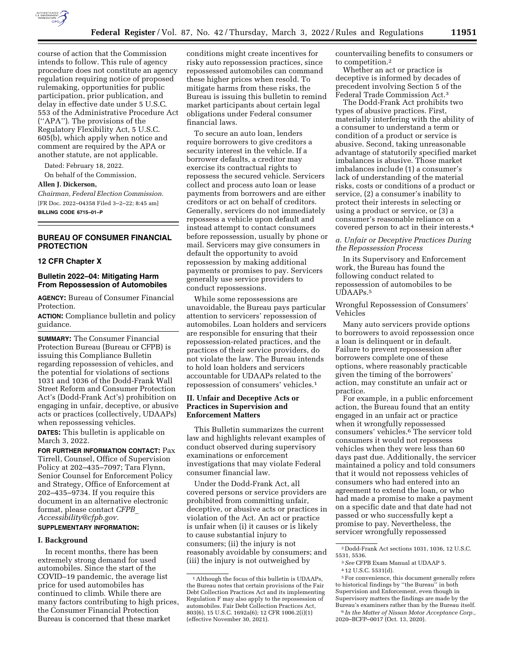

course of action that the Commission intends to follow. This rule of agency procedure does not constitute an agency regulation requiring notice of proposed rulemaking, opportunities for public participation, prior publication, and delay in effective date under 5 U.S.C. 553 of the Administrative Procedure Act (''APA''). The provisions of the Regulatory Flexibility Act, 5 U.S.C. 605(b), which apply when notice and comment are required by the APA or another statute, are not applicable.

Dated: February 18, 2022.

On behalf of the Commission,

# **Allen J. Dickerson,**

*Chairman, Federal Election Commission.*  [FR Doc. 2022–04358 Filed 3–2–22; 8:45 am] **BILLING CODE 6715–01–P** 

# **BUREAU OF CONSUMER FINANCIAL PROTECTION**

### **12 CFR Chapter X**

# **Bulletin 2022–04: Mitigating Harm From Repossession of Automobiles**

**AGENCY:** Bureau of Consumer Financial Protection.

**ACTION:** Compliance bulletin and policy guidance.

**SUMMARY:** The Consumer Financial Protection Bureau (Bureau or CFPB) is issuing this Compliance Bulletin regarding repossession of vehicles, and the potential for violations of sections 1031 and 1036 of the Dodd-Frank Wall Street Reform and Consumer Protection Act's (Dodd-Frank Act's) prohibition on engaging in unfair, deceptive, or abusive acts or practices (collectively, UDAAPs) when repossessing vehicles.

**DATES:** This bulletin is applicable on March 3, 2022.

**FOR FURTHER INFORMATION CONTACT:** Pax Tirrell, Counsel, Office of Supervision Policy at 202–435–7097; Tara Flynn, Senior Counsel for Enforcement Policy and Strategy, Office of Enforcement at 202–435–9734. If you require this document in an alternative electronic format, please contact *[CFPB](mailto:CFPB_Accessibility@cfpb.gov)*\_ *[Accessibility@cfpb.gov.](mailto:CFPB_Accessibility@cfpb.gov)* 

### **SUPPLEMENTARY INFORMATION:**

#### **I. Background**

In recent months, there has been extremely strong demand for used automobiles. Since the start of the COVID–19 pandemic, the average list price for used automobiles has continued to climb. While there are many factors contributing to high prices, the Consumer Financial Protection Bureau is concerned that these market

conditions might create incentives for risky auto repossession practices, since repossessed automobiles can command these higher prices when resold. To mitigate harms from these risks, the Bureau is issuing this bulletin to remind market participants about certain legal obligations under Federal consumer financial laws.

To secure an auto loan, lenders require borrowers to give creditors a security interest in the vehicle. If a borrower defaults, a creditor may exercise its contractual rights to repossess the secured vehicle. Servicers collect and process auto loan or lease payments from borrowers and are either creditors or act on behalf of creditors. Generally, servicers do not immediately repossess a vehicle upon default and instead attempt to contact consumers before repossession, usually by phone or mail. Servicers may give consumers in default the opportunity to avoid repossession by making additional payments or promises to pay. Servicers generally use service providers to conduct repossessions.

While some repossessions are unavoidable, the Bureau pays particular attention to servicers' repossession of automobiles. Loan holders and servicers are responsible for ensuring that their repossession-related practices, and the practices of their service providers, do not violate the law. The Bureau intends to hold loan holders and servicers accountable for UDAAPs related to the repossession of consumers' vehicles.1

# **II. Unfair and Deceptive Acts or Practices in Supervision and Enforcement Matters**

This Bulletin summarizes the current law and highlights relevant examples of conduct observed during supervisory examinations or enforcement investigations that may violate Federal consumer financial law.

Under the Dodd-Frank Act, all covered persons or service providers are prohibited from committing unfair, deceptive, or abusive acts or practices in violation of the Act. An act or practice is unfair when (i) it causes or is likely to cause substantial injury to consumers; (ii) the injury is not reasonably avoidable by consumers; and (iii) the injury is not outweighed by

countervailing benefits to consumers or to competition.2

Whether an act or practice is deceptive is informed by decades of precedent involving Section 5 of the Federal Trade Commission Act.3

The Dodd-Frank Act prohibits two types of abusive practices. First, materially interfering with the ability of a consumer to understand a term or condition of a product or service is abusive. Second, taking unreasonable advantage of statutorily specified market imbalances is abusive. Those market imbalances include (1) a consumer's lack of understanding of the material risks, costs or conditions of a product or service, (2) a consumer's inability to protect their interests in selecting or using a product or service, or (3) a consumer's reasonable reliance on a covered person to act in their interests.4

*a. Unfair or Deceptive Practices During the Repossession Process* 

In its Supervisory and Enforcement work, the Bureau has found the following conduct related to repossession of automobiles to be UDAAPs.5

Wrongful Repossession of Consumers' Vehicles

Many auto servicers provide options to borrowers to avoid repossession once a loan is delinquent or in default. Failure to prevent repossession after borrowers complete one of these options, where reasonably practicable given the timing of the borrowers' action, may constitute an unfair act or practice.

For example, in a public enforcement action, the Bureau found that an entity engaged in an unfair act or practice when it wrongfully repossessed consumers' vehicles.6 The servicer told consumers it would not repossess vehicles when they were less than 60 days past due. Additionally, the servicer maintained a policy and told consumers that it would not repossess vehicles of consumers who had entered into an agreement to extend the loan, or who had made a promise to make a payment on a specific date and that date had not passed or who successfully kept a promise to pay. Nevertheless, the servicer wrongfully repossessed

<sup>1</sup>Although the focus of this bulletin is UDAAPs, the Bureau notes that certain provisions of the Fair Debt Collection Practices Act and its implementing Regulation F may also apply to the repossession of automobiles. Fair Debt Collection Practices Act, 803(6), 15 U.S.C. 1692a(6); 12 CFR 1006.2(i)(1) (effective November 30, 2021).

<sup>2</sup> Dodd-Frank Act sections 1031, 1036, 12 U.S.C. 5531, 5536.

<sup>3</sup>*See* CFPB Exam Manual at UDAAP 5.

<sup>4</sup> 12 U.S.C. 5531(d).

<sup>5</sup>For convenience, this document generally refers to historical findings by ''the Bureau'' in both Supervision and Enforcement, even though in Supervisory matters the findings are made by the Bureau's examiners rather than by the Bureau itself. 6 *In the Matter of Nissan Motor Acceptance Corp.,*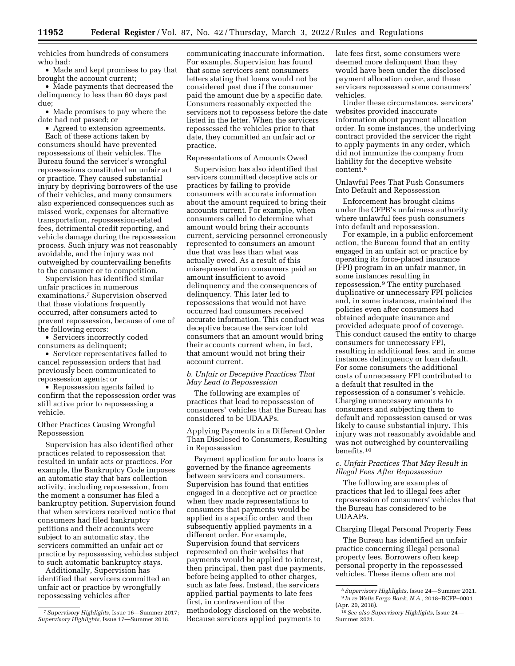vehicles from hundreds of consumers who had:

• Made and kept promises to pay that brought the account current;

• Made payments that decreased the delinquency to less than 60 days past due;

• Made promises to pay where the date had not passed; or

• Agreed to extension agreements. Each of these actions taken by consumers should have prevented repossessions of their vehicles. The Bureau found the servicer's wrongful repossessions constituted an unfair act or practice. They caused substantial injury by depriving borrowers of the use of their vehicles, and many consumers also experienced consequences such as missed work, expenses for alternative transportation, repossession-related fees, detrimental credit reporting, and vehicle damage during the repossession process. Such injury was not reasonably avoidable, and the injury was not outweighed by countervailing benefits to the consumer or to competition.

Supervision has identified similar unfair practices in numerous examinations.7 Supervision observed that these violations frequently occurred, after consumers acted to prevent repossession, because of one of the following errors:

• Servicers incorrectly coded consumers as delinquent;

• Servicer representatives failed to cancel repossession orders that had previously been communicated to repossession agents; or

• Repossession agents failed to confirm that the repossession order was still active prior to repossessing a vehicle.

Other Practices Causing Wrongful Repossession

Supervision has also identified other practices related to repossession that resulted in unfair acts or practices. For example, the Bankruptcy Code imposes an automatic stay that bars collection activity, including repossession, from the moment a consumer has filed a bankruptcy petition. Supervision found that when servicers received notice that consumers had filed bankruptcy petitions and their accounts were subject to an automatic stay, the servicers committed an unfair act or practice by repossessing vehicles subject to such automatic bankruptcy stays.

Additionally, Supervision has identified that servicers committed an unfair act or practice by wrongfully repossessing vehicles after

communicating inaccurate information. For example, Supervision has found that some servicers sent consumers letters stating that loans would not be considered past due if the consumer paid the amount due by a specific date. Consumers reasonably expected the servicers not to repossess before the date listed in the letter. When the servicers repossessed the vehicles prior to that date, they committed an unfair act or practice.

### Representations of Amounts Owed

Supervision has also identified that servicers committed deceptive acts or practices by failing to provide consumers with accurate information about the amount required to bring their accounts current. For example, when consumers called to determine what amount would bring their accounts current, servicing personnel erroneously represented to consumers an amount due that was less than what was actually owed. As a result of this misrepresentation consumers paid an amount insufficient to avoid delinquency and the consequences of delinquency. This later led to repossessions that would not have occurred had consumers received accurate information. This conduct was deceptive because the servicer told consumers that an amount would bring their accounts current when, in fact, that amount would not bring their account current.

# *b. Unfair or Deceptive Practices That May Lead to Repossession*

The following are examples of practices that lead to repossession of consumers' vehicles that the Bureau has considered to be UDAAPs.

Applying Payments in a Different Order Than Disclosed to Consumers, Resulting in Repossession

Payment application for auto loans is governed by the finance agreements between servicers and consumers. Supervision has found that entities engaged in a deceptive act or practice when they made representations to consumers that payments would be applied in a specific order, and then subsequently applied payments in a different order. For example, Supervision found that servicers represented on their websites that payments would be applied to interest, then principal, then past due payments, before being applied to other charges, such as late fees. Instead, the servicers applied partial payments to late fees first, in contravention of the methodology disclosed on the website. Because servicers applied payments to

late fees first, some consumers were deemed more delinquent than they would have been under the disclosed payment allocation order, and these servicers repossessed some consumers' vehicles.

Under these circumstances, servicers' websites provided inaccurate information about payment allocation order. In some instances, the underlying contract provided the servicer the right to apply payments in any order, which did not immunize the company from liability for the deceptive website content.8

Unlawful Fees That Push Consumers Into Default and Repossession

Enforcement has brought claims under the CFPB's unfairness authority where unlawful fees push consumers into default and repossession.

For example, in a public enforcement action, the Bureau found that an entity engaged in an unfair act or practice by operating its force-placed insurance (FPI) program in an unfair manner, in some instances resulting in repossession.9 The entity purchased duplicative or unnecessary FPI policies and, in some instances, maintained the policies even after consumers had obtained adequate insurance and provided adequate proof of coverage. This conduct caused the entity to charge consumers for unnecessary FPI, resulting in additional fees, and in some instances delinquency or loan default. For some consumers the additional costs of unnecessary FPI contributed to a default that resulted in the repossession of a consumer's vehicle. Charging unnecessary amounts to consumers and subjecting them to default and repossession caused or was likely to cause substantial injury. This injury was not reasonably avoidable and was not outweighed by countervailing benefits.10

# *c. Unfair Practices That May Result in Illegal Fees After Repossession*

The following are examples of practices that led to illegal fees after repossession of consumers' vehicles that the Bureau has considered to be UDAAPs.

#### Charging Illegal Personal Property Fees

The Bureau has identified an unfair practice concerning illegal personal property fees. Borrowers often keep personal property in the repossessed vehicles. These items often are not

<sup>7</sup>*Supervisory Highlights,* Issue 16—Summer 2017; *Supervisory Highlights,* Issue 17—Summer 2018.

<sup>8</sup>*Supervisory Highlights,* Issue 24—Summer 2021. 9 *In re Wells Fargo Bank, N.A.,* 2018–BCFP–0001 (Apr. 20, 2018).

<sup>10</sup>*See also Supervisory Highlights,* Issue 24— Summer 2021.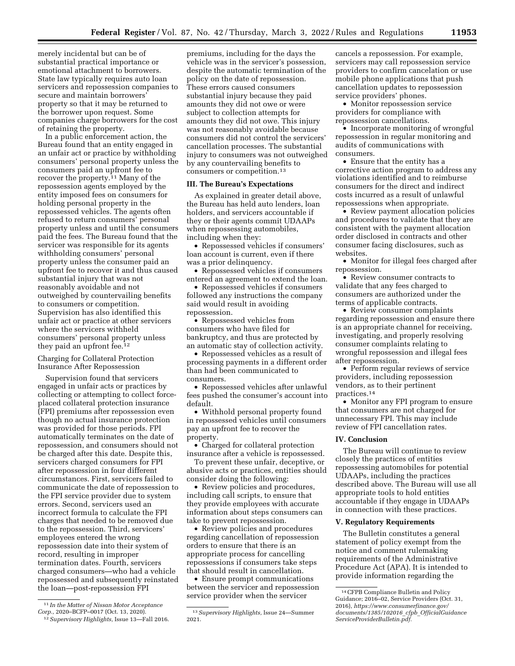merely incidental but can be of substantial practical importance or emotional attachment to borrowers. State law typically requires auto loan servicers and repossession companies to secure and maintain borrowers' property so that it may be returned to the borrower upon request. Some companies charge borrowers for the cost of retaining the property.

In a public enforcement action, the Bureau found that an entity engaged in an unfair act or practice by withholding consumers' personal property unless the consumers paid an upfront fee to recover the property.11 Many of the repossession agents employed by the entity imposed fees on consumers for holding personal property in the repossessed vehicles. The agents often refused to return consumers' personal property unless and until the consumers paid the fees. The Bureau found that the servicer was responsible for its agents withholding consumers' personal property unless the consumer paid an upfront fee to recover it and thus caused substantial injury that was not reasonably avoidable and not outweighed by countervailing benefits to consumers or competition. Supervision has also identified this unfair act or practice at other servicers where the servicers withheld consumers' personal property unless they paid an upfront fee.12

Charging for Collateral Protection Insurance After Repossession

Supervision found that servicers engaged in unfair acts or practices by collecting or attempting to collect forceplaced collateral protection insurance (FPI) premiums after repossession even though no actual insurance protection was provided for those periods. FPI automatically terminates on the date of repossession, and consumers should not be charged after this date. Despite this, servicers charged consumers for FPI after repossession in four different circumstances. First, servicers failed to communicate the date of repossession to the FPI service provider due to system errors. Second, servicers used an incorrect formula to calculate the FPI charges that needed to be removed due to the repossession. Third, servicers' employees entered the wrong repossession date into their system of record, resulting in improper termination dates. Fourth, servicers charged consumers—who had a vehicle repossessed and subsequently reinstated the loan—post-repossession FPI

12*Supervisory Highlights,* Issue 13—Fall 2016.

premiums, including for the days the vehicle was in the servicer's possession, despite the automatic termination of the policy on the date of repossession. These errors caused consumers substantial injury because they paid amounts they did not owe or were subject to collection attempts for amounts they did not owe. This injury was not reasonably avoidable because consumers did not control the servicers' cancellation processes. The substantial injury to consumers was not outweighed by any countervailing benefits to consumers or competition.13

# **III. The Bureau's Expectations**

As explained in greater detail above, the Bureau has held auto lenders, loan holders, and servicers accountable if they or their agents commit UDAAPs when repossessing automobiles, including when they:

• Repossessed vehicles if consumers' loan account is current, even if there was a prior delinquency.

• Repossessed vehicles if consumers entered an agreement to extend the loan.

• Repossessed vehicles if consumers followed any instructions the company said would result in avoiding repossession.

• Repossessed vehicles from consumers who have filed for bankruptcy, and thus are protected by an automatic stay of collection activity.

• Repossessed vehicles as a result of processing payments in a different order than had been communicated to consumers.

• Repossessed vehicles after unlawful fees pushed the consumer's account into default.

• Withhold personal property found in repossessed vehicles until consumers pay an upfront fee to recover the property.

• Charged for collateral protection insurance after a vehicle is repossessed.

To prevent these unfair, deceptive, or abusive acts or practices, entities should consider doing the following:

• Review policies and procedures, including call scripts, to ensure that they provide employees with accurate information about steps consumers can take to prevent repossession.

• Review policies and procedures regarding cancellation of repossession orders to ensure that there is an appropriate process for cancelling repossessions if consumers take steps that should result in cancellation.

• Ensure prompt communications between the servicer and repossession service provider when the servicer

cancels a repossession. For example, servicers may call repossession service providers to confirm cancelation or use mobile phone applications that push cancellation updates to repossession service providers' phones.

• Monitor repossession service providers for compliance with repossession cancellations.

• Incorporate monitoring of wrongful repossession in regular monitoring and audits of communications with consumers.

• Ensure that the entity has a corrective action program to address any violations identified and to reimburse consumers for the direct and indirect costs incurred as a result of unlawful repossessions when appropriate.

• Review payment allocation policies and procedures to validate that they are consistent with the payment allocation order disclosed in contracts and other consumer facing disclosures, such as websites.

• Monitor for illegal fees charged after repossession.

• Review consumer contracts to validate that any fees charged to consumers are authorized under the terms of applicable contracts.

• Review consumer complaints regarding repossession and ensure there is an appropriate channel for receiving, investigating, and properly resolving consumer complaints relating to wrongful repossession and illegal fees after repossession.

• Perform regular reviews of service providers, including repossession vendors, as to their pertinent practices.14

• Monitor any FPI program to ensure that consumers are not charged for unnecessary FPI. This may include review of FPI cancellation rates.

### **IV. Conclusion**

The Bureau will continue to review closely the practices of entities repossessing automobiles for potential UDAAPs, including the practices described above. The Bureau will use all appropriate tools to hold entities accountable if they engage in UDAAPs in connection with these practices.

### **V. Regulatory Requirements**

The Bulletin constitutes a general statement of policy exempt from the notice and comment rulemaking requirements of the Administrative Procedure Act (APA). It is intended to provide information regarding the

<sup>11</sup> *In the Matter of Nissan Motor Acceptance Corp.,* 2020–BCFP–0017 (Oct. 13, 2020).

<sup>13</sup>*Supervisory Highlights,* Issue 24—Summer 2021.

<sup>14</sup>CFPB Compliance Bulletin and Policy Guidance; 2016–02, Service Providers (Oct. 31, 2016), *[https://www.consumerfinance.gov/](https://www.consumerfinance.gov/documents/1385/102016_cfpb_OfficialGuidanceServiceProviderBulletin.pdf)  [documents/1385/102016](https://www.consumerfinance.gov/documents/1385/102016_cfpb_OfficialGuidanceServiceProviderBulletin.pdf)*\_*cfpb*\_*OfficialGuidance [ServiceProviderBulletin.pdf.](https://www.consumerfinance.gov/documents/1385/102016_cfpb_OfficialGuidanceServiceProviderBulletin.pdf)*